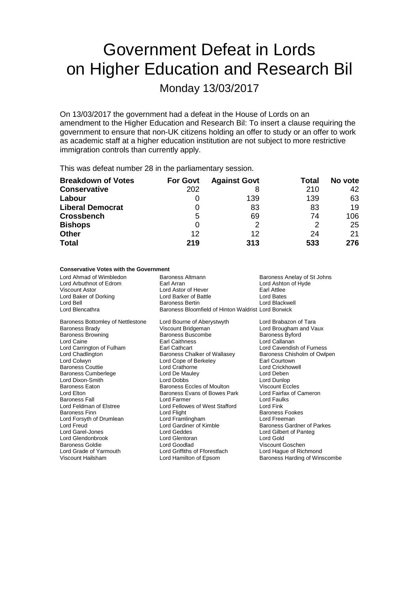# Government Defeat in Lords on Higher Education and Research Bil

Monday 13/03/2017

On 13/03/2017 the government had a defeat in the House of Lords on an amendment to the Higher Education and Research Bil: To insert a clause requiring the government to ensure that non-UK citizens holding an offer to study or an offer to work as academic staff at a higher education institution are not subject to more restrictive immigration controls than currently apply.

This was defeat number 28 in the parliamentary session.

| <b>Breakdown of Votes</b> | <b>For Govt</b> | <b>Against Govt</b> | Total | No vote |
|---------------------------|-----------------|---------------------|-------|---------|
| <b>Conservative</b>       | 202             |                     | 210   | 42      |
| Labour                    | O               | 139                 | 139   | 63      |
| <b>Liberal Democrat</b>   | 0               | 83                  | 83    | 19      |
| <b>Crossbench</b>         | 5               | 69                  | 74    | 106     |
| <b>Bishops</b>            | 0               |                     | 2     | 25      |
| <b>Other</b>              | 12              | 12                  | 24    | 21      |
| <b>Total</b>              | 219             | 313                 | 533   | 276     |

## **Conservative Votes with the Government**

| Lord Ahmad of Wimbledon<br>Lord Arbuthnot of Edrom<br>Viscount Astor<br>Lord Baker of Dorking<br>Lord Bell<br>Lord Blencathra | <b>Baroness Altmann</b><br>Earl Arran<br>Lord Astor of Hever<br>Lord Barker of Battle<br><b>Baroness Bertin</b><br>Baroness Bloomfield of Hinton Waldrist Lord Borwick | Baroness Anelay of St Johns<br>Lord Ashton of Hyde<br>Earl Attlee<br>Lord Bates<br>Lord Blackwell |
|-------------------------------------------------------------------------------------------------------------------------------|------------------------------------------------------------------------------------------------------------------------------------------------------------------------|---------------------------------------------------------------------------------------------------|
| Baroness Bottomley of Nettlestone                                                                                             | Lord Bourne of Aberystwyth                                                                                                                                             | Lord Brabazon of Tara                                                                             |
| Baroness Brady                                                                                                                | Viscount Bridgeman                                                                                                                                                     | Lord Brougham and Vaux                                                                            |
| Baroness Browning                                                                                                             | <b>Baroness Buscombe</b>                                                                                                                                               | <b>Baroness Byford</b>                                                                            |
| Lord Caine                                                                                                                    | <b>Earl Caithness</b>                                                                                                                                                  | Lord Callanan                                                                                     |
| Lord Carrington of Fulham                                                                                                     | <b>Earl Cathcart</b>                                                                                                                                                   | Lord Cavendish of Furness                                                                         |
| Lord Chadlington                                                                                                              | Baroness Chalker of Wallasey                                                                                                                                           | Baroness Chisholm of Owlpen                                                                       |
| Lord Colwyn                                                                                                                   | Lord Cope of Berkeley                                                                                                                                                  | Earl Courtown                                                                                     |
| <b>Baroness Couttie</b>                                                                                                       | Lord Crathorne                                                                                                                                                         | <b>Lord Crickhowell</b>                                                                           |
| Baroness Cumberlege                                                                                                           | Lord De Mauley                                                                                                                                                         | Lord Deben                                                                                        |
| Lord Dixon-Smith                                                                                                              | Lord Dobbs                                                                                                                                                             | Lord Dunlop                                                                                       |
| Baroness Eaton                                                                                                                | Baroness Eccles of Moulton                                                                                                                                             | <b>Viscount Eccles</b>                                                                            |
| Lord Elton                                                                                                                    | Baroness Evans of Bowes Park                                                                                                                                           | Lord Fairfax of Cameron                                                                           |
| Baroness Fall                                                                                                                 | Lord Farmer                                                                                                                                                            | Lord Faulks                                                                                       |
| Lord Feldman of Elstree                                                                                                       | Lord Fellowes of West Stafford                                                                                                                                         | Lord Fink                                                                                         |
| Baroness Finn                                                                                                                 | Lord Flight                                                                                                                                                            | <b>Baroness Fookes</b>                                                                            |
| Lord Forsyth of Drumlean                                                                                                      | Lord Framlingham                                                                                                                                                       | Lord Freeman                                                                                      |
| Lord Freud                                                                                                                    | Lord Gardiner of Kimble                                                                                                                                                | <b>Baroness Gardner of Parkes</b>                                                                 |
| Lord Garel-Jones                                                                                                              | Lord Geddes                                                                                                                                                            | Lord Gilbert of Panteg                                                                            |
| Lord Glendonbrook                                                                                                             | Lord Glentoran                                                                                                                                                         | Lord Gold                                                                                         |
| Baroness Goldie                                                                                                               | Lord Goodlad                                                                                                                                                           | Viscount Goschen                                                                                  |
| Lord Grade of Yarmouth                                                                                                        | Lord Griffiths of Fforestfach                                                                                                                                          | Lord Hague of Richmond                                                                            |
| Viscount Hailsham                                                                                                             | Lord Hamilton of Epsom                                                                                                                                                 | Baroness Harding of Winscombe                                                                     |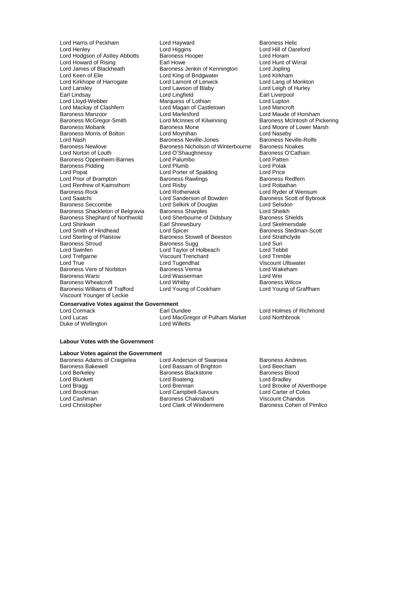Lord Lansley **Lord Lawson of Blaby**<br> **Lord Lingfield**<br>
Lord Lingfield Lord Mackay of Clashfern Lord Magan of C<br>
Baroness Manzoor Lord Marlesford Lord Renfrew of Kaimsthorn Lord Risby<br>
Baroness Rock Lord Rotherwick Baroness Shephard of Northwold Viscount Younger of Leckie

Lord Harris of Peckham Lord Hayward<br>
Lord Henley Lord Higgins Lord Higgins Lord Hill of Oare Lord Higgins **Lord Hill of Oareford**<br> **Baroness Hooper Lord Horam** Lord Hodgson of Astley Abbotts Baroness Hooper **Lord Horam**<br>
Lord Howard of Rising **Baroness Hooper** Lord Hunt of Wirral Lord Howard of Rising<br>
Lord Howard of Rising Earl Howe Earl Howe<br>
Lord James of Blackheath Baroness Jenkin of Kennington Lord Jopling Lord James of Blackheath Baroness Jenkin of Kennington Lord Jopling<br>Lord Keen of Elie Lord King of Bridgwater Lord Kirkham Lord King of Bridgwater<br>
Lord Lamont of Lerwick<br>
Lord Lang of Monkton Lord Kirkhope of Harrogate Lord Lamont of Lerwick Lord Lang of Monkton Lord Lang of Monkton Lord Lang of Monkto<br>Lord Lansley Lord Lamont of Lerwick Lord Lang of Monkton Lord Lang of Monkton Lord Lang of Murley **Lord Lingfield Lord Liverpool**<br>
Marquess of Lothian **Earl Lord Lupton** Lord Lloyd-Webber **Marquess of Lothian** Lord Lupton<br>Lord Mackay of Clashfern Lord Magan of Castletown Lord Mancroft Baroness Manzoor Lord Marlesford Lord Maude of Horsham Baroness McGregor-Smith Lord McInnes of Kilwinning Baroness McIntosh of Pickering<br>Baroness Mobarik Baroness Mone Lord Moore of Lower Marsh Baroness Mone **Carolina Baroness Mone Lord Moore of Lower Marsh**<br>
Lord Moynihan **Lord Naseby** Baroness Morris of Bolton Lord Moynihan Lord Naseby Lord Nash **Baroness Neville-Jones** Baroness Neville-Jones Baroness Neville-<br>Baroness Newlove **Baroness Nicholson of Winterbourne** Baroness Noakes Baroness Newlove **Baroness Newlove** Baroness Nicholson of Winterbourne Baroness Noakes<br>
Lord Norton of Louth **Baroness** C'Cathain Lord O'Shaughnessy Baroness O<br>
Lord Palumbo<br>
Lord Patten Baroness Oppenheim-Barnes Lord Palumbo Lord Patten Baroness Pidding **Carolina Contract Contract Lord Polac** Lord Polak<br>
Lord Porter of Spalding **Lord Price**<br>
Lord Porter of Spalding **Lord Price** Lord Popat Lord Porter of Spalding Lord Price Lord Prior of Brampton **Baroness Rawlings**<br>
Lord Renfrew of Kaimsthorn **Baroness Rawlings**<br>
Lord Robathan Baroness Rock Lord Rotherwick Lord Ryder of Wensum Lord Sanderson of Bowden Baroness Seccombe Lord Selkirk of Douglas Lord Selsdon<br>Baroness Shackleton of Belgravia Baroness Sharples Lord Sheikh Baroness Shackleton of Belgravia Baroness Sharples<br>
Baroness Shephard of Northwold Lord Sherbourne of Didsbury Baroness Shields Lord Shinkwin **Lord Shinkwin** Earl Shrewsbury **Lord Skelmersdale**<br>
Lord Smith of Hindhead **Lord Spicer** Lord Spicer **Lord Shink** Baroness Stedman Lord Smith of Hindhead Lord Spicer<br>
Lord Sterling of Plaistow Baroness Stowell of Beeston Lord Strathclyde<br>
Lord Strathclyde Lord Sterling of Plaistow **Baroness Stowell of Beeston** Lord Strathcland Baroness Stowell of Beeston Lord Strathcland Baroness Suga Baroness Stroud **Baroness Sugg Lord Suring Stroud Suring Stroud Suring Stroud Suring Stroud Suring Stroud Suring Stroud Suring Stroud Suring Stroud Suring Stroud Suring Stroud Suring Stroud Suring Stroud Suring Stroud Suri** Lord Swinfen Lord Taylor of Holbeach Lord Tebbit Lord Trefgarne Viscount Trenchard Lord Trimble Baroness Vere of Norbiton Baroness Verma Lord Wakeham Lord Wakeham Lord Wakehaman Lord Wei<br>Baroness Warsi Lord Wasserman Lord Wei Lord Wasserman Lord Wei<br>
Lord Whitby Corpus Baroness Wilcox Baroness Wheatcroft **Lord Whitby** Cord Whitby Baroness Wilcox<br>
Baroness Williams of Trafford Lord Young of Cookham Lord Young of Graffham Lord Young of Cookham

Viscount Ullswater<br>Lord Wakeham

## **Conservative Votes against the Government**

Duke of Wellington

Lord Lucas Lord MacGregor of Pulham Market Lord Northbrook

## **Labour Votes with the Government**

## **Labour Votes against the Government**

Lord Blunkett Lord Boateng<br>Lord Bragg Lord Brennan

Baroness Adams of Craigielea Lord Anderson of Swansea Baroness Andrews<br>Baroness Bakewell Lord Bassam of Brighton Lord Beecham Baroness Bakewell **Exercise School Lord Bassam of Brighton** Cord Beecham<br>
Lord Berkeley **Corress Backstone** Baroness Blood Baroness Blood Lord Berkeley Baroness Blackstone Baroness Blood Lord Brookman Lord Campbell-Savours Lord Carter of Coles Lord Cashman Baroness Chakrabarti Lord Charistopher Chandos Chandos Chandos Chandos Chandos Chandos Chandos Chandos Chandos Chandos Chandos Chandos Chandos Chandos Chandos Chandos Chandos Chandos Chandos Chandos Chandos Ch

Lord Brennan Lord Brooke of Alverthorpe Baroness Cohen of Pimlico

Lord Holmes of Richmond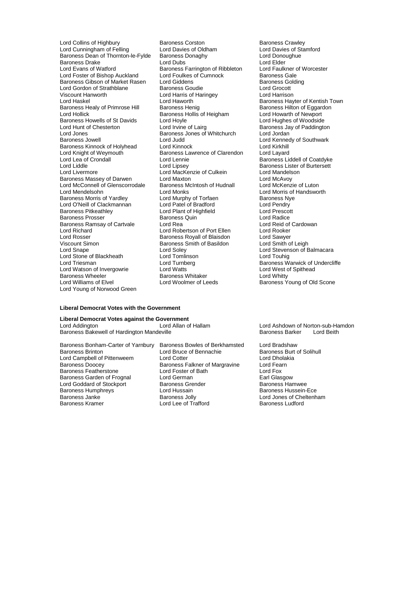Lord Cunningham of Felling Lord Davies of Oldham Lord Davies of St<br>Baroness Dean of Thornton-le-Fylde Baroness Donaghy Lord Donoughue Baroness Dean of Thornton-le-Fylde Baroness Donaghy Lord Donoughue Lord Donoughy<br>Baroness Drake Lord Dubs Lord Dubs Baroness Drake **Lord Clubs** Lord Dubs Lord Elder Lord Elder **Lord Evans of Worcester**<br>
Lord Evans of Watford **Club Baroness Farrington of Ribbleton** Lord Faulkner of Worcester Lord Foster of Bishop Auckland Lord Foulkes of Cumnock Baroness Gale<br>Baroness Gibson of Market Rasen Lord Giddens Colding Baroness Golding Baroness Gibson of Market Rasen Lord Giddens Baroness Golding Baroness Golding Baroness Golding Baroness Golding Baroness Golding Baroness Golding Baroness Golding Baroness Golding Baroness Golding Baroness Golding Barones Lord Gordon of Strathblane<br>Viscount Hanworth Viscount Hanworth **Lord Harris of Haringey Lord Harrison**<br>
Lord Harrison Lord Haworth **Lord Haworth** Baroness Hav Baroness Healy of Primrose Hill Baroness Henig Baroness Healy of Primrose Hilton Baroness Henig Baroness Henig<br>Lord Hollick Baroness Hollis of Heigham Lord Howarth of Newport Baroness Howells of St Davids Lord Hoyle<br>
Lord Hunt of Chesterton Lord Irvine of Lairg Lord Hunt of Chesterton Lord Irvine of Lairg Baroness Jay of Paddington<br>
Lord Jones Baroness Jones of Whitchurch Lord Jordan Lord Jones **Baroness Jones of Whitchurch Baroness Jones of Whitchurch Baroness** Jones of Whitchurch Baroness Kinnock of Holyhead Lord Kinnock Lord Cord Kinkhill<br>
Lord Knight of Wevmouth Baroness Lawrence of Clarendon Lord Layard Lord Knight of Weymouth Baroness Lawrence of Clarendon<br>
Lord Lea of Crondall Lord Lennie Lord Lea of Crondall **Lord Lennie** Lord Lennie Baroness Liddell of Coatdyke<br>
Lord Liddle Lord Lipsey **Baroness Lister of Burtersett** Lord Liddle Lord Lipsey Lord Lipsey Cord Lipsey<br>
Lord MacKenzie of Culkein Lord Mandelson<br>
Lord Livermore Lord MacKenzie of Culkein Lord Mandelson Baroness Massey of Darwen Lord Maxton Lord Mexton Lord McAvoy<br>
Lord McConnell of Glenscorrodale Baroness McIntosh of Hudnall Lord McKenzie of Luton Lord McConnell of Glenscorrodale Baroness M<br>Lord Mendelsohn **blue Contains Lord Monks** Lord Mendelsohn Lord Monks Lord Morris of Handsworth Lord O'Neill of Clackmannan Lord Patel of Bradford Lord Pendry<br>
Baroness Pitkeathley Lord Punt of Highfield Lord Prescott Baroness Prosser Baroness Quin Lord Radice Baroness Ramsay of Cartvale Lord Rea Lord Rea Lord Reid of Lord Reid of Lord Rooker Lord Richard **Lord Robertson of Port Ellen** Lord Rooker<br>
Lord Rosser **Lord Rooker**<br>
Baroness Rovall of Blaisdon Lord Sawver Lord Rosser **Communist Communist Baroness Royall of Blaisdon** Lord Sawyer<br>
Viscount Simon Communist Caroness Smith of Basildon Lord Smith of Leigh Lord Snape Lord Soley Lord Stevenson of Balmacara Lord Stone of Blackheath Lord Tomlinson<br>
Lord Triesman Lord Turnberg Lord Watson of Invergowrie Lord Watts **Lord Watts Corporation Corporation**<br>
Baroness Wheeler **Corporation Corporation**<br>
Baroness Whitaker **Corporation Corporation** Baroness Wheeler The Baroness Whitaker<br>
Lord Williams of Elvel The Lord Woolmer of Leeds Lord Young of Norwood Green

Lord Collins of Highbury **Baroness Corston** Baroness Crawley<br>
Lord Cunningham of Felling **Baroness Corston Baroness Crawley Corstone** Baroness Crawley **Baroness Farrington of Ribbleton Lord Faulkner c**<br>Lord Foulkes of Cumnock **Baroness Gale** Baroness Hollis of Heigham Lord Howarth of Newport<br>Lord Hoyle Lord Hughes of Woodside Baroness Jowell Lord Judd Lord Kennedy of Southwark Lord MacKenzie of Culkein Lord Mandels<br>Lord Maxton Lord McAvoy Lord Murphy of Torfaen **Baroness Ny**<br>
Lord Patel of Bradford **Baroness Nyellon** Lord Plant of Highfield **Lord Prescott**<br>Baroness Quin **Container Container Lord Radice** Baroness Smith of Basildon Lord Turnberg **Baroness Warwick of Undercliffe**<br>
Lord Watts<br>
Lord West of Spithead

Baroness Hayter of Kentish Town<br>Baroness Hilton of Eggardon Baroness Young of Old Scone

#### **Liberal Democrat Votes with the Government**

**Liberal Democrat Votes against the Government** Baroness Bakewell of Hardington Mandeville

Lord Campbell of Pittenweem Lord Cotter Lord Cotter Lord Composition Lord Dhola<br>Baroness Doocey Baroness Falkner of Margravine Lord Fearn Baroness Featherstone Lord Foster of Bath Lord Fox Baroness Garden of Frognal Lord German Lord German Carl Glasgow<br>
Lord Goddard of Stockport Baroness Grender Baroness Hamwee Lord Goddard of Stockport **Baroness Grender** Baroness Hamwee<br>Baroness Humphrevs **Baroness Hammed Baroness Hussein-Ece**<br>Baroness Hussein-Ece Baroness Humphreys **Lord Hussain**<br>Baroness Janke **Baroness** Jolly Baroness Janke<br>
Baroness Kramer<br>
Baroness Kramer<br>
Lord Lee of Trafford<br>
Baroness Ludford<br>
Baroness Ludford

Baroness Bonham-Carter of Yarnbury Baroness Bowles of Berkhamsted Lord Bradshaw Baroness Brinton Lord Bruce of Bennachie Baroness Burt of Solihull Baroness Falkner of Margravine Lord Fearner Cord Fearner Cord Fearner Cord Fox Lord Lee of Trafford

Lord Ashdown of Norton-sub-Hamdon<br>Baroness Barker Lord Beith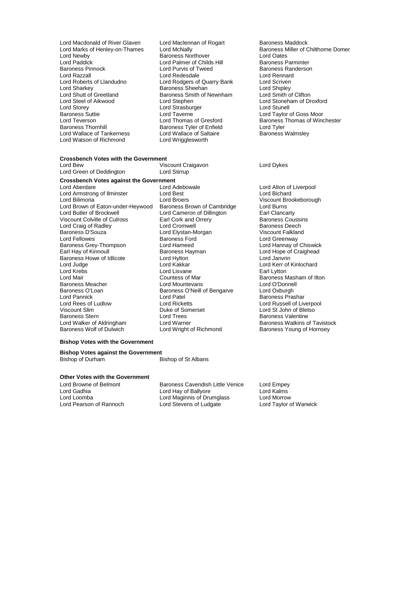- Lord Macdonald of River Glaven Lord Maclennan of Rogart Baroness Maddock<br>
Lord Marks of Henley-on-Thames Lord McNally Cord Machally Baroness Miller of C Lord Newby **Communist Communist Communist Communist Communist Communist Communist Communist Communist Communist Communist Communist Communist Communist Communist Communist Communist Communist Communist Communist Communist** Lord Paddick Lord Palmer of Childs Hill<br>
Baroness Pinnock Lord Purvis of Tweed Baroness Pinnock **Exercise Search Corporation**<br>
Lord Rack Lord Redesdale<br>
Lord Rack Lord Redesdale<br>
Lord Rennard Lord Razzall Lord Redesdale Lord Rennard<br>
Lord Roberts of Llandudno Lord Rodgers of Quarry Bank Lord Scriven Lord Roberts of Llandudno<br>
Lord Roberts of Llandudno<br>
Lord Sharkey Baroness Sheehan Lord Shipley<br>
Lord Sharkey Baroness Sheehan Lord Shipley Lord Sharkey **Baroness** Sheehan Lord Shipley<br>
Lord Shutt of Greetland Baroness Smith of Newnham Lord Smith of Clifton Lord Shutt of Greetland Baroness Smith of Newnham<br>
Lord Steel of Aikwood Lord Stephen Lord Steel of Aikwood Lord Stephen Lord Stoneham of Droxford Lord Storey **Lord Strasburger** Lord Stranell Lord Stunell<br>
Baroness Suttie **Lord Taylor** Lord Taylor Lord Taylor Baroness Suttie Lord Taverne Lord Taylor of Goss Moor Lord Teverson **Lord Thomas of Gresford** Baroness Thomas of Winchester<br>
Baroness Thomas Index Baroness Ther of Enfield Lord Tyler Lord Wallace of Tankerness Lord Wallace of Salt<br>
Lord Watson of Richmond<br>
Lord Wrigglesworth Lord Watson of Richmond
	- Baroness Tyler of Enfield<br>
	Lord Wallace of Saltaire **Baroness Walmsley**
- Lord Marks of Henley-on-Thames Lord McNally **Baroness Miller of Chilthorne Domer**<br>
Lord Newby Baroness Northover **Baroness Not Lord Oates**

## **Crossbench Votes with the Government**<br>Lord Bew

Viscount Craigavon Lord Dykes<br>
Lord Stirrup<br>
Lord Stirrup

## **Crossbench Votes against the Government**

Lord Green of Deddinaton

Lord Aberdare Lord Adebowale Lord Alton of Liverpool Lord Armstrong of Ilminster Lord Best<br>
Lord Bilimoria **Lord Bichard Bilimoria** Lord Brown of Eaton-under-Heywood Baroness Brown of Cambridge Lord Burns<br>
Lord Butler of Brockwell Lord Cameron of Dillington Earl Clancarty Viscount Colville of Culross Earl Cork and Orrery Baroness Coussins Coussing Control of Culross Earl Cork and Orrery Baroness Coussing Department Colville of Culross Earl Cork and Orrery Baroness Coussing Department Core Lord Craig of Radley Baroness D'Souza **Charlette Coronalists Coronalists** Lord Elystan-Morgan Morgan Viscount Falkland<br>
Lord Fellowes **Coronalists Coronalists** Baroness Ford Coronalists Coronalists Coronalists Coronalists Coronalis Lord Fellowes Baroness Ford Lord Greenway Baroness Grey-Thompson Lord Hameed Lord Hannay of Chiswick Earl Hay of Kinnoull **Baroness Hayman** Lord Hope of Craighead Craighead Baroness Howe of Idlicote Lord Hylton **Container Container Container Container Container Container Container Conta**<br>
Lord Judge **Lord Kakkar** Lord Kakkar Lord Kerr of Lord Judge Lord Kakkar Lord Kerr of Kinlochard Lord Mair Countess of Mar Countess of Mar Baroness Masham of Ilton<br>
Baroness Meacher Cord Mountevans Cord Cord O'Donnell Baroness Meacher **Lord Mountevans** Lord O'Donne<br>Baroness O'Loan **Lord Connell Baroness O'Neill of Bengarye** Lord Oxburgh Baroness O'Loan Baroness O'Neill of Bengarve<br>
Lord Pannick<br>
Lord Patel Lord Pannick Lord Patel Lord Patel Baroness Prashar<br>
Lord Rees of Ludlow Lord Ricketts Lord Russell of Liv Lord Rees of Ludlow Lord Ricketts Lord Russell of Liverpool<br>
Viscount Slim Lord Russell of Sumerset Lord St John of Bletso Viscount Slim **Duke of Somerset** Lord St John of Bletso<br>
Baroness Stern **Corporation Corporation**<br>
Lord Trees **Corporation Baroness Valentine** Baroness Stern and Trees and Lord Trees and Baroness Valentine<br>
Lord Walker of Aldringham Lord Warner and Baroness Watkins of

Lord Bilimoria Lord Broers Viscount Brookeborough Lord Cameron of Dillington **Earl Clancarty**<br> **Earl Cork and Orrery Cameron Baroness Coussins** Lord Lisvane Lord Walker of Aldringham Lord Warner Lord Warner Baroness Watkins of Tavistock<br>
Baroness Wolf of Dulwich Lord Wright of Richmond Baroness Young of Hornsey

Baroness Young of Hornsey

### **Bishop Votes with the Government**

**Bishop Votes against the Government<br>Bishop of Durham E** Bishop of St Albans

## **Other Votes with the Government**

Lord Pearson of Rannoch

Lord Browne of Belmont Baroness Cavendish Little Venice Lord Empey<br>Lord Gadhia Little Venice Lord Kalms Lord Gadhia Lord Hay of Ballyore Lord Kalms Lord Maginnis of Drumglass<br>
Lord Stevens of Ludgate<br>
Lord Taylor of Warwick